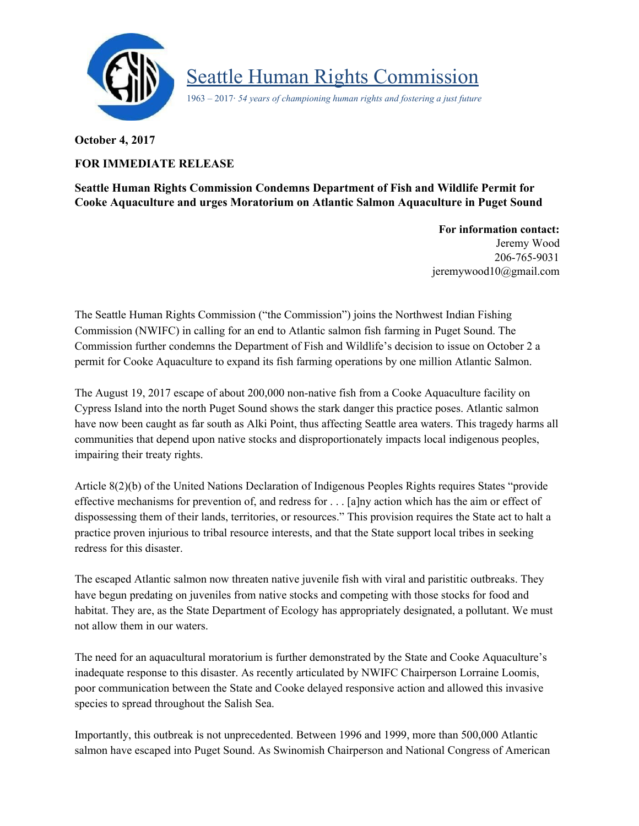

Seattle Human Rights Commission

1963 – 2017· *54 years of championing human rights and fostering a just future*

**October 4, 2017**

## **FOR IMMEDIATE RELEASE**

**Seattle Human Rights Commission Condemns Department of Fish and Wildlife Permit for Cooke Aquaculture and urges Moratorium on Atlantic Salmon Aquaculture in Puget Sound**

> **For information contact:** Jeremy Wood 206-765-9031 jeremywood1[0@gmail.com](mailto:seattlehumanrights@gmail.com)

The Seattle Human Rights Commission ("the Commission") joins the Northwest Indian Fishing Commission (NWIFC) in calling for an end to Atlantic salmon fish farming in Puget Sound. The Commission further condemns the Department of Fish and Wildlife's decision to issue on October 2 a permit for Cooke Aquaculture to expand its fish farming operations by one million Atlantic Salmon.

The August 19, 2017 escape of about 200,000 non-native fish from a Cooke Aquaculture facility on Cypress Island into the north Puget Sound shows the stark danger this practice poses. Atlantic salmon have now been caught as far south as Alki Point, thus affecting Seattle area waters. This tragedy harms all communities that depend upon native stocks and disproportionately impacts local indigenous peoples, impairing their treaty rights.

Article 8(2)(b) of the United Nations Declaration of Indigenous Peoples Rights requires States "provide effective mechanisms for prevention of, and redress for . . . [a]ny action which has the aim or effect of dispossessing them of their lands, territories, or resources." This provision requires the State act to halt a practice proven injurious to tribal resource interests, and that the State support local tribes in seeking redress for this disaster.

The escaped Atlantic salmon now threaten native juvenile fish with viral and paristitic outbreaks. They have begun predating on juveniles from native stocks and competing with those stocks for food and habitat. They are, as the State Department of Ecology has appropriately designated, a pollutant. We must not allow them in our waters.

The need for an aquacultural moratorium is further demonstrated by the State and Cooke Aquaculture's inadequate response to this disaster. As recently articulated by NWIFC Chairperson Lorraine Loomis, poor communication between the State and Cooke delayed responsive action and allowed this invasive species to spread throughout the Salish Sea.

Importantly, this outbreak is not unprecedented. Between 1996 and 1999, more than 500,000 Atlantic salmon have escaped into Puget Sound. As Swinomish Chairperson and National Congress of American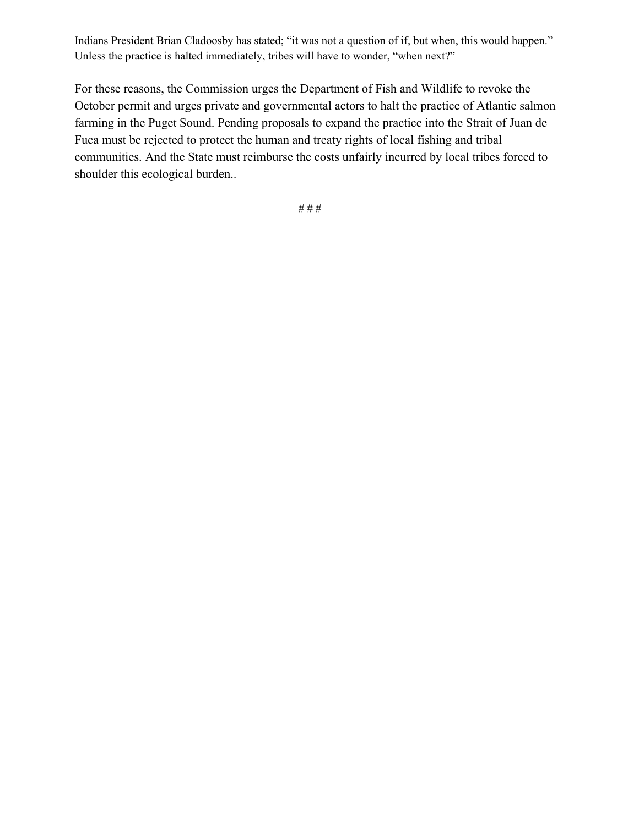Indians President Brian Cladoosby has stated; "it was not a question of if, but when, this would happen." Unless the practice is halted immediately, tribes will have to wonder, "when next?"

For these reasons, the Commission urges the Department of Fish and Wildlife to revoke the October permit and urges private and governmental actors to halt the practice of Atlantic salmon farming in the Puget Sound. Pending proposals to expand the practice into the Strait of Juan de Fuca must be rejected to protect the human and treaty rights of local fishing and tribal communities. And the State must reimburse the costs unfairly incurred by local tribes forced to shoulder this ecological burden..

# # #